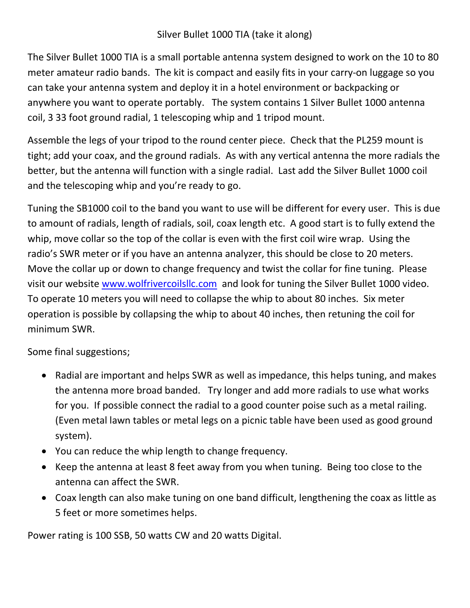The Silver Bullet 1000 TIA is a small portable antenna system designed to work on the 10 to 80 meter amateur radio bands. The kit is compact and easily fits in your carry-on luggage so you can take your antenna system and deploy it in a hotel environment or backpacking or anywhere you want to operate portably. The system contains 1 Silver Bullet 1000 antenna coil, 3 33 foot ground radial, 1 telescoping whip and 1 tripod mount.

Assemble the legs of your tripod to the round center piece. Check that the PL259 mount is tight; add your coax, and the ground radials. As with any vertical antenna the more radials the better, but the antenna will function with a single radial. Last add the Silver Bullet 1000 coil and the telescoping whip and you're ready to go.

Tuning the SB1000 coil to the band you want to use will be different for every user. This is due to amount of radials, length of radials, soil, coax length etc. A good start is to fully extend the whip, move collar so the top of the collar is even with the first coil wire wrap. Using the radio's SWR meter or if you have an antenna analyzer, this should be close to 20 meters. Move the collar up or down to change frequency and twist the collar for fine tuning. Please visit our website www.wolfrivercoilsllc.com and look for tuning the Silver Bullet 1000 video. To operate 10 meters you will need to collapse the whip to about 80 inches. Six meter operation is possible by collapsing the whip to about 40 inches, then retuning the coil for minimum SWR.

Some final suggestions;

- Radial are important and helps SWR as well as impedance, this helps tuning, and makes the antenna more broad banded. Try longer and add more radials to use what works for you. If possible connect the radial to a good counter poise such as a metal railing. (Even metal lawn tables or metal legs on a picnic table have been used as good ground system).
- You can reduce the whip length to change frequency.
- Keep the antenna at least 8 feet away from you when tuning. Being too close to the antenna can affect the SWR.
- Coax length can also make tuning on one band difficult, lengthening the coax as little as 5 feet or more sometimes helps.

Power rating is 100 SSB, 50 watts CW and 20 watts Digital.